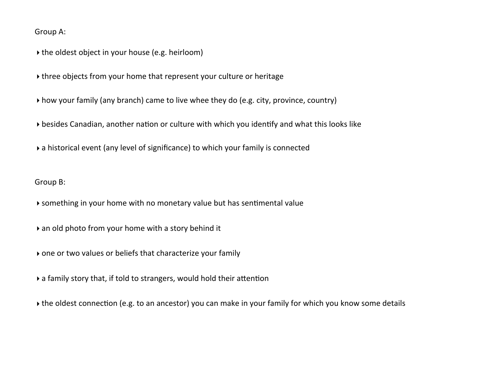Group A:

 $\rightarrow$  the oldest object in your house (e.g. heirloom)

If three objects from your home that represent your culture or heritage

▶ how your family (any branch) came to live whee they do (e.g. city, province, country)

 $\rightarrow$  besides Canadian, another nation or culture with which you identify and what this looks like

 $\rightarrow$  a historical event (any level of significance) to which your family is connected

Group B:

 $\blacktriangleright$  something in your home with no monetary value but has sentimental value

 $\rightarrow$  an old photo from your home with a story behind it

 $\rightarrow$  one or two values or beliefs that characterize your family

 $\rightarrow$  a family story that, if told to strangers, would hold their attention

If the oldest connection (e.g. to an ancestor) you can make in your family for which you know some details